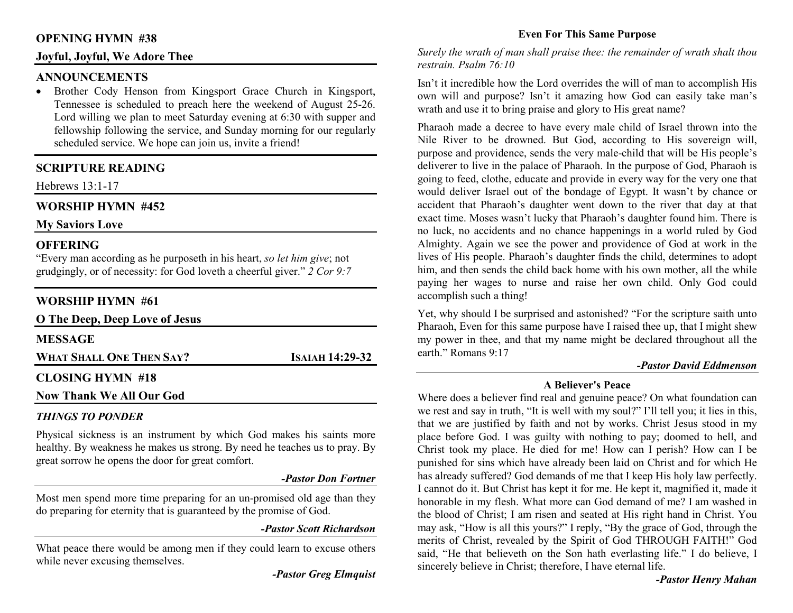### **OPENING HYMN #38**

# **Joyful, Joyful, We Adore Thee**

#### **ANNOUNCEMENTS**

 • Brother Cody Henson from Kingsport Grace Church in Kingsport, Tennessee is scheduled to preach here the weekend of August 25-26. Lord willing we plan to meet Saturday evening at 6:30 with supper and fellowship following the service, and Sunday morning for our regularly scheduled service. We hope can join us, invite a friend!

# **SCRIPTURE READING**

Hebrews 13:1-17

# **WORSHIP HYMN #452**

**My Saviors Love** 

### **OFFERING**

 "Every man according as he purposeth in his heart, *so let him give*; not grudgingly, or of necessity: for God loveth a cheerful giver." *2 Cor 9:7*

# **WORSHIP HYMN #61**

| O The Deep, Deep Love of Jesus  |                 |
|---------------------------------|-----------------|
| <b>MESSAGE</b>                  |                 |
| <b>WHAT SHALL ONE THEN SAY?</b> | ISAIAH 14:29-32 |
| <b>CLOSING HYMN #18</b>         |                 |
| <b>Now Thank We All Our God</b> |                 |

# *THINGS TO PONDER*

 Physical sickness is an instrument by which God makes his saints more healthy. By weakness he makes us strong. By need he teaches us to pray. By great sorrow he opens the door for great comfort.

#### *-Pastor Don Fortner*

Most men spend more time preparing for an un-promised old age than they do preparing for eternity that is guaranteed by the promise of God.

#### *-Pastor Scott Richardson*

What peace there would be among men if they could learn to excuse others while never excusing themselves.

*-Pastor Greg Elmquist* 

# **Even For This Same Purpose**

*Surely the wrath of man shall praise thee: the remainder of wrath shalt thou restrain. Psalm 76:10* 

Isn't it incredible how the Lord overrides the will of man to accomplish His own will and purpose? Isn't it amazing how God can easily take man's wrath and use it to bring praise and glory to His great name?

Pharaoh made a decree to have every male child of Israel thrown into the Nile River to be drowned. But God, according to His sovereign will, purpose and providence, sends the very male-child that will be His people's deliverer to live in the palace of Pharaoh. In the purpose of God, Pharaoh is going to feed, clothe, educate and provide in every way for the very one that would deliver Israel out of the bondage of Egypt. It wasn't by chance or accident that Pharaoh's daughter went down to the river that day at that exact time. Moses wasn't lucky that Pharaoh's daughter found him. There is no luck, no accidents and no chance happenings in a world ruled by God Almighty. Again we see the power and providence of God at work in the lives of His people. Pharaoh's daughter finds the child, determines to adopt him, and then sends the child back home with his own mother, all the while paying her wages to nurse and raise her own child. Only God could accomplish such a thing!

Yet, why should I be surprised and astonished? "For the scripture saith unto Pharaoh, Even for this same purpose have I raised thee up, that I might shew my power in thee, and that my name might be declared throughout all the earth." Romans 9:17

#### *-Pastor David Eddmenson*

#### **A Believer's Peace**

 Where does a believer find real and genuine peace? On what foundation can we rest and say in truth, "It is well with my soul?" I'll tell you; it lies in this, that we are justified by faith and not by works. Christ Jesus stood in my place before God. I was guilty with nothing to pay; doomed to hell, and Christ took my place. He died for me! How can I perish? How can I be punished for sins which have already been laid on Christ and for which He has already suffered? God demands of me that I keep His holy law perfectly. I cannot do it. But Christ has kept it for me. He kept it, magnified it, made it honorable in my flesh. What more can God demand of me? I am washed in the blood of Christ; I am risen and seated at His right hand in Christ. You may ask, "How is all this yours?" I reply, "By the grace of God, through the merits of Christ, revealed by the Spirit of God THROUGH FAITH!" God said, "He that believeth on the Son hath everlasting life." I do believe, I sincerely believe in Christ; therefore, I have eternal life.

#### *-Pastor Henry Mahan*